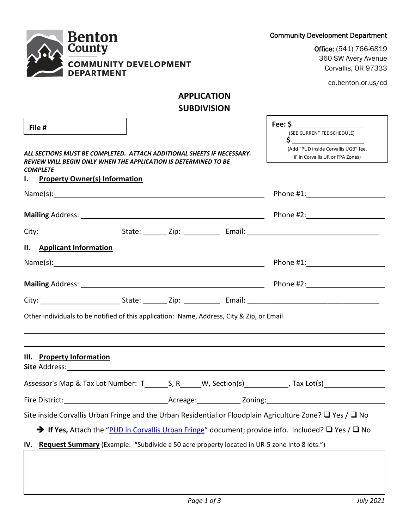| <b>Community Development Department</b> |  |  |
|-----------------------------------------|--|--|
|                                         |  |  |



Office: (541) 766-6819 360 SW Avery Avenue Corvallis, OR 97333

co.benton.or.us/cd

# **APPLICATION**

| <b>SUBDIVISION</b>                                                                                                                                                     |                                                                                                             |  |  |
|------------------------------------------------------------------------------------------------------------------------------------------------------------------------|-------------------------------------------------------------------------------------------------------------|--|--|
| File #<br>ALL SECTIONS MUST BE COMPLETED. ATTACH ADDITIONAL SHEETS IF NECESSARY.<br>REVIEW WILL BEGIN ONLY WHEN THE APPLICATION IS DETERMINED TO BE<br><b>COMPLETE</b> | (SEE CURRENT FEE SCHEDULE)<br>S<br>(Add "PUD inside Corvallis UGB" fee,<br>IF in Corvallis UR or FPA Zones) |  |  |
| <b>Property Owner(s) Information</b><br>ь.                                                                                                                             |                                                                                                             |  |  |
|                                                                                                                                                                        | Phone #1: New York Phone #1:                                                                                |  |  |
|                                                                                                                                                                        |                                                                                                             |  |  |
|                                                                                                                                                                        |                                                                                                             |  |  |
| II. Applicant Information                                                                                                                                              |                                                                                                             |  |  |
| $Name(s):$ $\qquad \qquad$                                                                                                                                             |                                                                                                             |  |  |
|                                                                                                                                                                        | Phone #2: New York Phone #2:                                                                                |  |  |
|                                                                                                                                                                        |                                                                                                             |  |  |
| Other individuals to be notified of this application: Name, Address, City & Zip, or Email                                                                              |                                                                                                             |  |  |
|                                                                                                                                                                        |                                                                                                             |  |  |
| III. Property Information                                                                                                                                              |                                                                                                             |  |  |
|                                                                                                                                                                        |                                                                                                             |  |  |
| Fire District:<br>Acreage: <b>Zoning:</b>                                                                                                                              |                                                                                                             |  |  |
| Site inside Corvallis Urban Fringe and the Urban Residential or Floodplain Agriculture Zone? $\Box$ Yes / $\Box$ No                                                    |                                                                                                             |  |  |
| $\rightarrow$ If Yes, Attach the "PUD in Corvallis Urban Fringe" document; provide info. Included? $\square$ Yes / $\square$ No                                        |                                                                                                             |  |  |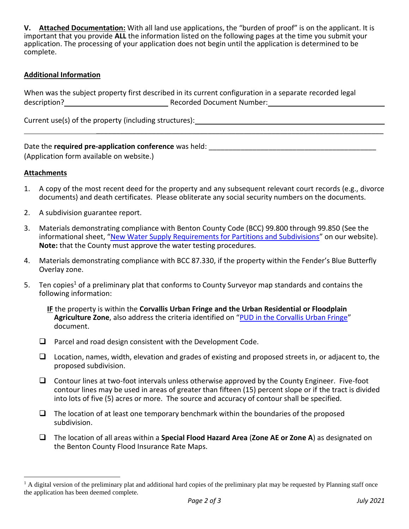**V. Attached Documentation:** With all land use applications, the "burden of proof" is on the applicant. It is important that you provide **ALL** the information listed on the following pages at the time you submit your application. The processing of your application does not begin until the application is determined to be complete.

### **Additional Information**

When was the subject property first described in its current configuration in a separate recorded legal description? Manual Contract Contract Recorded Document Number: Manual Contract Contract Contract Contract Contract Contract Contract Contract Contract Contract Contract Contract Contract Contract Contract Contract Contrac

Current use(s) of the property (including structures): \_\_\_\_\_\_\_\_\_\_\_\_\_\_\_\_\_\_\_\_\_\_\_\_\_

### Date the **required pre-application conference** was held: **Noting that the required pre-application conference** was held:

(Application form available on website.)

#### **Attachments**

l

1. A copy of the most recent deed for the property and any subsequent relevant court records (e.g., divorce documents) and death certificates. Please obliterate any social security numbers on the documents.

 $\mathcal{L}_\text{max}$  and  $\mathcal{L}_\text{max}$  and  $\mathcal{L}_\text{max}$  and  $\mathcal{L}_\text{max}$  and  $\mathcal{L}_\text{max}$  and  $\mathcal{L}_\text{max}$ 

- 2. A subdivision guarantee report.
- 3. Materials demonstrating compliance with Benton County Code (BCC) 99.800 through 99.850 (See the informational sheet, "[New Water Supply Requirements for Partitions and Subdivisions](https://www.co.benton.or.us/planning/page/land-use-forms-fees)" on our website). **Note:** that the County must approve the water testing procedures.
- 4. Materials demonstrating compliance with BCC 87.330, if the property within the Fender's Blue Butterfly Overlay zone.
- 5. Ten copies<sup>1</sup> of a preliminary plat that conforms to County Surveyor map standards and contains the following information:

**IF** the property is within the **Corvallis Urban Fringe and the Urban Residential or Floodplain Agriculture Zone**, also address the criteria identified on "[PUD in the Corvallis Urban Fringe](https://www.co.benton.or.us/planning/page/land-use-forms-fees)" document.

- $\Box$  Parcel and road design consistent with the Development Code.
- $\Box$  Location, names, width, elevation and grades of existing and proposed streets in, or adjacent to, the proposed subdivision.
- $\Box$  Contour lines at two-foot intervals unless otherwise approved by the County Engineer. Five-foot contour lines may be used in areas of greater than fifteen (15) percent slope or if the tract is divided into lots of five (5) acres or more. The source and accuracy of contour shall be specified.
- $\Box$  The location of at least one temporary benchmark within the boundaries of the proposed subdivision.
- The location of all areas within a **Special Flood Hazard Area** (**Zone AE or Zone A**) as designated on the Benton County Flood Insurance Rate Maps.

 $<sup>1</sup>$  A digital version of the preliminary plat and additional hard copies of the preliminary plat may be requested by Planning staff once</sup> the application has been deemed complete.